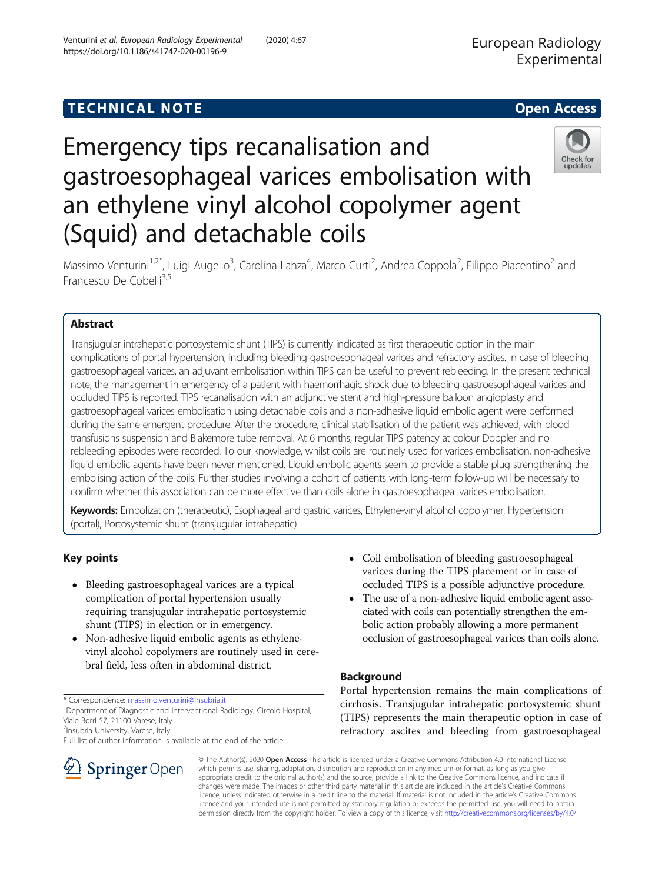## **TECHNICAL NOTE SECOND EXECUTIVE CONTRACT CONTRACT OF ACCESS**

# Emergency tips recanalisation and gastroesophageal varices embolisation with an ethylene vinyl alcohol copolymer agent (Squid) and detachable coils



Massimo Venturini<sup>1,2\*</sup>, Luigi Augello<sup>3</sup>, Carolina Lanza<sup>4</sup>, Marco Curti<sup>2</sup>, Andrea Coppola<sup>2</sup>, Filippo Piacentino<sup>2</sup> and Francesco De Cobelli<sup>3,5</sup>

## Abstract

Transjugular intrahepatic portosystemic shunt (TIPS) is currently indicated as first therapeutic option in the main complications of portal hypertension, including bleeding gastroesophageal varices and refractory ascites. In case of bleeding gastroesophageal varices, an adjuvant embolisation within TIPS can be useful to prevent rebleeding. In the present technical note, the management in emergency of a patient with haemorrhagic shock due to bleeding gastroesophageal varices and occluded TIPS is reported. TIPS recanalisation with an adjunctive stent and high-pressure balloon angioplasty and gastroesophageal varices embolisation using detachable coils and a non-adhesive liquid embolic agent were performed during the same emergent procedure. After the procedure, clinical stabilisation of the patient was achieved, with blood transfusions suspension and Blakemore tube removal. At 6 months, regular TIPS patency at colour Doppler and no rebleeding episodes were recorded. To our knowledge, whilst coils are routinely used for varices embolisation, non-adhesive liquid embolic agents have been never mentioned. Liquid embolic agents seem to provide a stable plug strengthening the embolising action of the coils. Further studies involving a cohort of patients with long-term follow-up will be necessary to confirm whether this association can be more effective than coils alone in gastroesophageal varices embolisation.

Keywords: Embolization (therapeutic), Esophageal and gastric varices, Ethylene-vinyl alcohol copolymer, Hypertension (portal), Portosystemic shunt (transjugular intrahepatic)

## Key points

- Bleeding gastroesophageal varices are a typical complication of portal hypertension usually requiring transjugular intrahepatic portosystemic shunt (TIPS) in election or in emergency.
- Non-adhesive liquid embolic agents as ethylenevinyl alcohol copolymers are routinely used in cerebral field, less often in abdominal district.

<sup>1</sup>Department of Diagnostic and Interventional Radiology, Circolo Hospital, Viale Borri 57, 21100 Varese, Italy

<sup>2</sup>Insubria University, Varese, Italy

Full list of author information is available at the end of the article



- Coil embolisation of bleeding gastroesophageal varices during the TIPS placement or in case of occluded TIPS is a possible adjunctive procedure.
- The use of a non-adhesive liquid embolic agent associated with coils can potentially strengthen the embolic action probably allowing a more permanent occlusion of gastroesophageal varices than coils alone.

## Background

Portal hypertension remains the main complications of cirrhosis. Transjugular intrahepatic portosystemic shunt (TIPS) represents the main therapeutic option in case of refractory ascites and bleeding from gastroesophageal

© The Author(s). 2020 Open Access This article is licensed under a Creative Commons Attribution 4.0 International License, which permits use, sharing, adaptation, distribution and reproduction in any medium or format, as long as you give appropriate credit to the original author(s) and the source, provide a link to the Creative Commons licence, and indicate if changes were made. The images or other third party material in this article are included in the article's Creative Commons licence, unless indicated otherwise in a credit line to the material. If material is not included in the article's Creative Commons licence and your intended use is not permitted by statutory regulation or exceeds the permitted use, you will need to obtain permission directly from the copyright holder. To view a copy of this licence, visit <http://creativecommons.org/licenses/by/4.0/>.

<sup>\*</sup> Correspondence: [massimo.venturini@insubria.it](mailto:massimo.venturini@insubria.it) <sup>1</sup>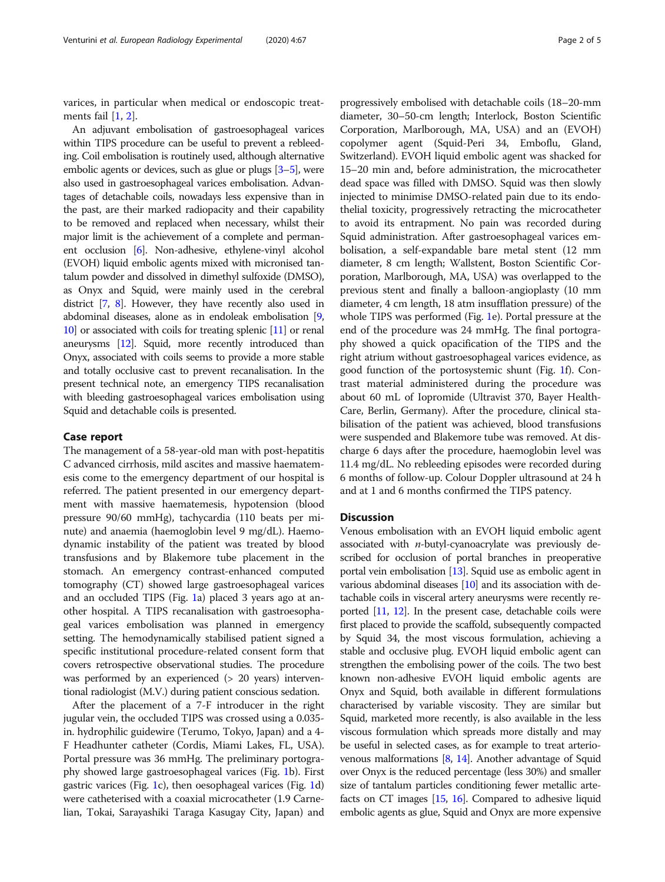varices, in particular when medical or endoscopic treatments fail [\[1](#page-3-0), [2\]](#page-3-0).

An adjuvant embolisation of gastroesophageal varices within TIPS procedure can be useful to prevent a rebleeding. Coil embolisation is routinely used, although alternative embolic agents or devices, such as glue or plugs [\[3](#page-3-0)–[5](#page-3-0)], were also used in gastroesophageal varices embolisation. Advantages of detachable coils, nowadays less expensive than in the past, are their marked radiopacity and their capability to be removed and replaced when necessary, whilst their major limit is the achievement of a complete and permanent occlusion [\[6](#page-3-0)]. Non-adhesive, ethylene-vinyl alcohol (EVOH) liquid embolic agents mixed with micronised tantalum powder and dissolved in dimethyl sulfoxide (DMSO), as Onyx and Squid, were mainly used in the cerebral district [[7](#page-3-0), [8\]](#page-3-0). However, they have recently also used in abdominal diseases, alone as in endoleak embolisation [[9](#page-3-0), [10](#page-3-0)] or associated with coils for treating splenic [[11\]](#page-3-0) or renal aneurysms [[12](#page-3-0)]. Squid, more recently introduced than Onyx, associated with coils seems to provide a more stable and totally occlusive cast to prevent recanalisation. In the present technical note, an emergency TIPS recanalisation with bleeding gastroesophageal varices embolisation using Squid and detachable coils is presented.

#### Case report

The management of a 58-year-old man with post-hepatitis C advanced cirrhosis, mild ascites and massive haematemesis come to the emergency department of our hospital is referred. The patient presented in our emergency department with massive haematemesis, hypotension (blood pressure 90/60 mmHg), tachycardia (110 beats per minute) and anaemia (haemoglobin level 9 mg/dL). Haemodynamic instability of the patient was treated by blood transfusions and by Blakemore tube placement in the stomach. An emergency contrast-enhanced computed tomography (CT) showed large gastroesophageal varices and an occluded TIPS (Fig. [1a](#page-2-0)) placed 3 years ago at another hospital. A TIPS recanalisation with gastroesophageal varices embolisation was planned in emergency setting. The hemodynamically stabilised patient signed a specific institutional procedure-related consent form that covers retrospective observational studies. The procedure was performed by an experienced (> 20 years) interventional radiologist (M.V.) during patient conscious sedation.

After the placement of a 7-F introducer in the right jugular vein, the occluded TIPS was crossed using a 0.035 in. hydrophilic guidewire (Terumo, Tokyo, Japan) and a 4- F Headhunter catheter (Cordis, Miami Lakes, FL, USA). Portal pressure was 36 mmHg. The preliminary portography showed large gastroesophageal varices (Fig. [1b](#page-2-0)). First gastric varices (Fig. [1](#page-2-0)c), then oesophageal varices (Fig. [1](#page-2-0)d) were catheterised with a coaxial microcatheter (1.9 Carnelian, Tokai, Sarayashiki Taraga Kasugay City, Japan) and progressively embolised with detachable coils (18–20-mm diameter, 30–50-cm length; Interlock, Boston Scientific Corporation, Marlborough, MA, USA) and an (EVOH) copolymer agent (Squid-Peri 34, Emboflu, Gland, Switzerland). EVOH liquid embolic agent was shacked for 15–20 min and, before administration, the microcatheter dead space was filled with DMSO. Squid was then slowly injected to minimise DMSO-related pain due to its endothelial toxicity, progressively retracting the microcatheter to avoid its entrapment. No pain was recorded during Squid administration. After gastroesophageal varices embolisation, a self-expandable bare metal stent (12 mm diameter, 8 cm length; Wallstent, Boston Scientific Corporation, Marlborough, MA, USA) was overlapped to the previous stent and finally a balloon-angioplasty (10 mm diameter, 4 cm length, 18 atm insufflation pressure) of the whole TIPS was performed (Fig. [1e](#page-2-0)). Portal pressure at the end of the procedure was 24 mmHg. The final portography showed a quick opacification of the TIPS and the right atrium without gastroesophageal varices evidence, as good function of the portosystemic shunt (Fig. [1](#page-2-0)f). Contrast material administered during the procedure was about 60 mL of Iopromide (Ultravist 370, Bayer Health-Care, Berlin, Germany). After the procedure, clinical stabilisation of the patient was achieved, blood transfusions were suspended and Blakemore tube was removed. At discharge 6 days after the procedure, haemoglobin level was 11.4 mg/dL. No rebleeding episodes were recorded during 6 months of follow-up. Colour Doppler ultrasound at 24 h and at 1 and 6 months confirmed the TIPS patency.

#### **Discussion**

Venous embolisation with an EVOH liquid embolic agent associated with n-butyl-cyanoacrylate was previously described for occlusion of portal branches in preoperative portal vein embolisation [\[13](#page-3-0)]. Squid use as embolic agent in various abdominal diseases  $[10]$  and its association with detachable coils in visceral artery aneurysms were recently reported [\[11,](#page-3-0) [12\]](#page-3-0). In the present case, detachable coils were first placed to provide the scaffold, subsequently compacted by Squid 34, the most viscous formulation, achieving a stable and occlusive plug. EVOH liquid embolic agent can strengthen the embolising power of the coils. The two best known non-adhesive EVOH liquid embolic agents are Onyx and Squid, both available in different formulations characterised by variable viscosity. They are similar but Squid, marketed more recently, is also available in the less viscous formulation which spreads more distally and may be useful in selected cases, as for example to treat arteriovenous malformations [\[8,](#page-3-0) [14](#page-3-0)]. Another advantage of Squid over Onyx is the reduced percentage (less 30%) and smaller size of tantalum particles conditioning fewer metallic artefacts on CT images [[15](#page-3-0), [16](#page-3-0)]. Compared to adhesive liquid embolic agents as glue, Squid and Onyx are more expensive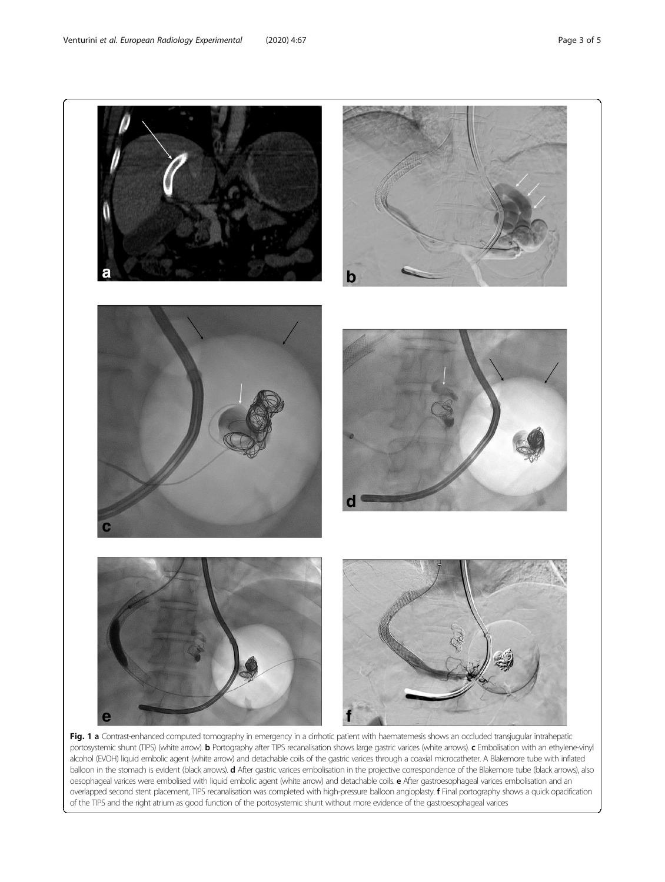<span id="page-2-0"></span>

Fig. 1 a Contrast-enhanced computed tomography in emergency in a cirrhotic patient with haematemesis shows an occluded transjugular intrahepatic portosystemic shunt (TIPS) (white arrow). **b** Portography after TIPS recanalisation shows large gastric varices (white arrows). **c** Embolisation with an ethylene-vinyl alcohol (EVOH) liquid embolic agent (white arrow) and detachable coils of the gastric varices through a coaxial microcatheter. A Blakemore tube with inflated balloon in the stomach is evident (black arrows). **d** After gastric varices embolisation in the projective correspondence of the Blakemore tube (black arrows), also oesophageal varices were embolised with liquid embolic agent (white arrow) and detachable coils. e After gastroesophageal varices embolisation and an overlapped second stent placement, TIPS recanalisation was completed with high-pressure balloon angioplasty. f Final portography shows a quick opacification of the TIPS and the right atrium as good function of the portosystemic shunt without more evidence of the gastroesophageal varices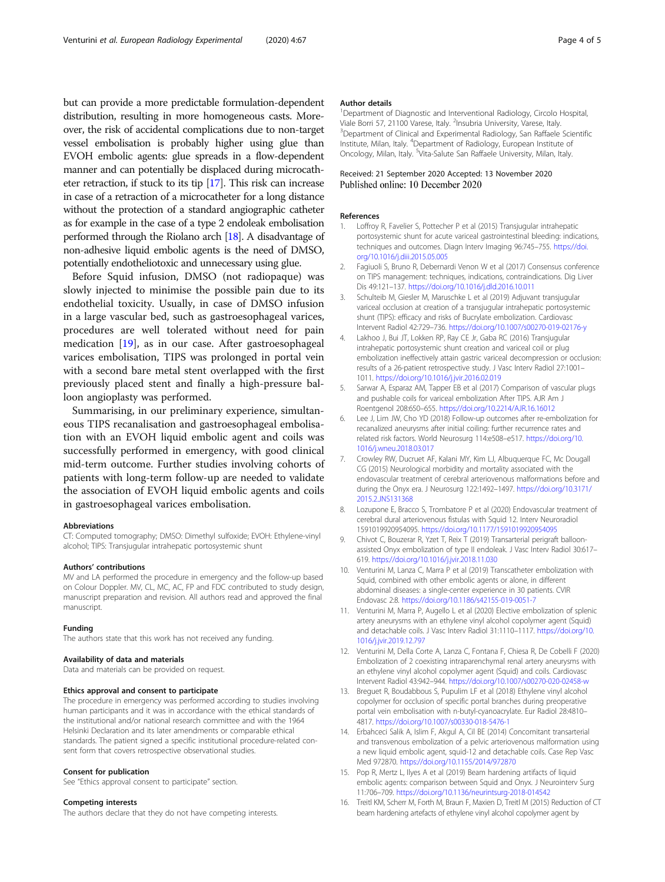<span id="page-3-0"></span>but can provide a more predictable formulation-dependent distribution, resulting in more homogeneous casts. Moreover, the risk of accidental complications due to non-target vessel embolisation is probably higher using glue than EVOH embolic agents: glue spreads in a flow-dependent manner and can potentially be displaced during microcatheter retraction, if stuck to its tip [[17](#page-4-0)]. This risk can increase in case of a retraction of a microcatheter for a long distance without the protection of a standard angiographic catheter as for example in the case of a type 2 endoleak embolisation performed through the Riolano arch [\[18](#page-4-0)]. A disadvantage of non-adhesive liquid embolic agents is the need of DMSO, potentially endotheliotoxic and unnecessary using glue.

Before Squid infusion, DMSO (not radiopaque) was slowly injected to minimise the possible pain due to its endothelial toxicity. Usually, in case of DMSO infusion in a large vascular bed, such as gastroesophageal varices, procedures are well tolerated without need for pain medication [[19](#page-4-0)], as in our case. After gastroesophageal varices embolisation, TIPS was prolonged in portal vein with a second bare metal stent overlapped with the first previously placed stent and finally a high-pressure balloon angioplasty was performed.

Summarising, in our preliminary experience, simultaneous TIPS recanalisation and gastroesophageal embolisation with an EVOH liquid embolic agent and coils was successfully performed in emergency, with good clinical mid-term outcome. Further studies involving cohorts of patients with long-term follow-up are needed to validate the association of EVOH liquid embolic agents and coils in gastroesophageal varices embolisation.

#### Abbreviations

CT: Computed tomography; DMSO: Dimethyl sulfoxide; EVOH: Ethylene-vinyl alcohol; TIPS: Transjugular intrahepatic portosystemic shunt

#### Authors' contributions

MV and LA performed the procedure in emergency and the follow-up based on Colour Doppler. MV, CL, MC, AC, FP and FDC contributed to study design, manuscript preparation and revision. All authors read and approved the final manuscript.

#### Funding

The authors state that this work has not received any funding.

### Availability of data and materials

Data and materials can be provided on request.

#### Ethics approval and consent to participate

The procedure in emergency was performed according to studies involving human participants and it was in accordance with the ethical standards of the institutional and/or national research committee and with the 1964 Helsinki Declaration and its later amendments or comparable ethical standards. The patient signed a specific institutional procedure-related consent form that covers retrospective observational studies.

#### Consent for publication

See "Ethics approval consent to participate" section.

#### Competing interests

The authors declare that they do not have competing interests.

#### Author details

<sup>1</sup>Department of Diagnostic and Interventional Radiology, Circolo Hospital Viale Borri 57, 21100 Varese, Italy. <sup>2</sup>Insubria University, Varese, Italy.<br><sup>3</sup>Department of Clinical and Experimental Badiology. San Baffaele. <sup>3</sup>Department of Clinical and Experimental Radiology, San Raffaele Scientific Institute, Milan, Italy. <sup>4</sup>Department of Radiology, European Institute of Oncology, Milan, Italy. <sup>5</sup>Vita-Salute San Raffaele University, Milan, Italy.

#### Received: 21 September 2020 Accepted: 13 November 2020 Published online: 10 December 2020

#### References

- 1. Loffroy R, Favelier S, Pottecher P et al (2015) Transjugular intrahepatic portosystemic shunt for acute variceal gastrointestinal bleeding: indications, techniques and outcomes. Diagn Interv Imaging 96:745–755. [https://doi.](https://doi.org/10.1016/j.diii.2015.05.005) [org/10.1016/j.diii.2015.05.005](https://doi.org/10.1016/j.diii.2015.05.005)
- 2. Fagiuoli S, Bruno R, Debernardi Venon W et al (2017) Consensus conference on TIPS management: techniques, indications, contraindications. Dig Liver Dis 49:121–137. <https://doi.org/10.1016/j.dld.2016.10.011>
- 3. Schulteib M, Giesler M, Maruschke L et al (2019) Adjuvant transjugular variceal occlusion at creation of a transjugular intrahepatic portosystemic shunt (TIPS): efficacy and risks of Bucrylate embolization. Cardiovasc Intervent Radiol 42:729–736. <https://doi.org/10.1007/s00270-019-02176-y>
- 4. Lakhoo J, Bui JT, Lokken RP, Ray CE Jr, Gaba RC (2016) Transjugular intrahepatic portosystemic shunt creation and variceal coil or plug embolization ineffectively attain gastric variceal decompression or occlusion: results of a 26-patient retrospective study. J Vasc Interv Radiol 27:1001– 1011. <https://doi.org/10.1016/j.jvir.2016.02.019>
- 5. Sarwar A, Esparaz AM, Tapper EB et al (2017) Comparison of vascular plugs and pushable coils for variceal embolization After TIPS. AJR Am J Roentgenol 208:650–655. <https://doi.org/10.2214/AJR.16.16012>
- 6. Lee J, Lim JW, Cho YD (2018) Follow-up outcomes after re-embolization for recanalized aneurysms after initial coiling: further recurrence rates and related risk factors. World Neurosurg 114:e508–e517. [https://doi.org/10.](https://doi.org/10.1016/j.wneu.2018.03.017) [1016/j.wneu.2018.03.017](https://doi.org/10.1016/j.wneu.2018.03.017)
- 7. Crowley RW, Ducruet AF, Kalani MY, Kim LJ, Albuquerque FC, Mc Dougall CG (2015) Neurological morbidity and mortality associated with the endovascular treatment of cerebral arteriovenous malformations before and during the Onyx era. J Neurosurg 122:1492–1497. [https://doi.org/10.3171/](https://doi.org/10.3171/2015.2.JNS131368) [2015.2.JNS131368](https://doi.org/10.3171/2015.2.JNS131368)
- 8. Lozupone E, Bracco S, Trombatore P et al (2020) Endovascular treatment of cerebral dural arteriovenous fistulas with Squid 12. Interv Neuroradiol 1591019920954095. <https://doi.org/10.1177/1591019920954095>
- 9. Chivot C, Bouzerar R, Yzet T, Reix T (2019) Transarterial perigraft balloonassisted Onyx embolization of type II endoleak. J Vasc Interv Radiol 30:617– 619. <https://doi.org/10.1016/j.jvir.2018.11.030>
- 10. Venturini M, Lanza C, Marra P et al (2019) Transcatheter embolization with Squid, combined with other embolic agents or alone, in different abdominal diseases: a single-center experience in 30 patients. CVIR Endovasc 2:8. <https://doi.org/10.1186/s42155-019-0051-7>
- 11. Venturini M, Marra P, Augello L et al (2020) Elective embolization of splenic artery aneurysms with an ethylene vinyl alcohol copolymer agent (Squid) and detachable coils. J Vasc Interv Radiol 31:1110–1117. [https://doi.org/10.](https://doi.org/10.1016/j.jvir.2019.12.797) [1016/j.jvir.2019.12.797](https://doi.org/10.1016/j.jvir.2019.12.797)
- 12. Venturini M, Della Corte A, Lanza C, Fontana F, Chiesa R, De Cobelli F (2020) Embolization of 2 coexisting intraparenchymal renal artery aneurysms with an ethylene vinyl alcohol copolymer agent (Squid) and coils. Cardiovasc Intervent Radiol 43:942–944. <https://doi.org/10.1007/s00270-020-02458-w>
- 13. Breguet R, Boudabbous S, Pupulim LF et al (2018) Ethylene vinyl alcohol copolymer for occlusion of specific portal branches during preoperative portal vein embolisation with n-butyl-cyanoacrylate. Eur Radiol 28:4810– 4817. <https://doi.org/10.1007/s00330-018-5476-1>
- 14. Erbahceci Salik A, Islim F, Akgul A, Cil BE (2014) Concomitant transarterial and transvenous embolization of a pelvic arteriovenous malformation using a new liquid embolic agent, squid-12 and detachable coils. Case Rep Vasc Med 972870. <https://doi.org/10.1155/2014/972870>
- 15. Pop R, Mertz L, Ilyes A et al (2019) Beam hardening artifacts of liquid embolic agents: comparison between Squid and Onyx. J Neurointerv Surg 11:706–709. <https://doi.org/10.1136/neurintsurg-2018-014542>
- 16. Treitl KM, Scherr M, Forth M, Braun F, Maxien D, Treitl M (2015) Reduction of CT beam hardening artefacts of ethylene vinyl alcohol copolymer agent by